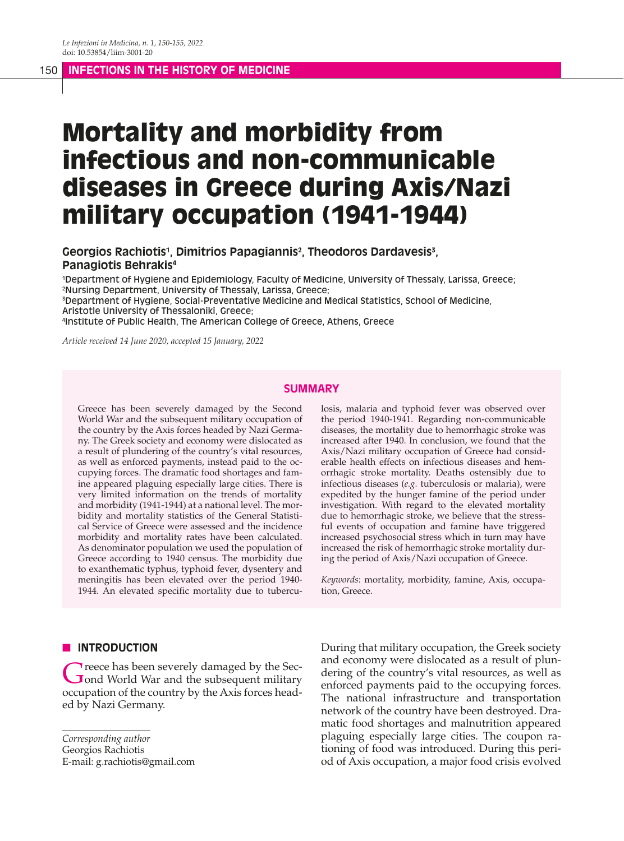#### 150 **INFECTIONS IN THE HISTORY OF MEDICINE**

# Mortality and morbidity from infectious and non-communicable diseases in Greece during Axis/Nazi military occupation (1941-1944)

## Georgios Rachiotis<sup>1</sup>, Dimitrios Papagiannis<sup>2</sup>, Theodoros Dardavesis<sup>3</sup>, **Panagiotis Behrakis4**

1 Department of Hygiene and Epidemiology, Faculty of Medicine, University of Thessaly, Larissa, Greece; 2 Nursing Department, University of Thessaly, Larissa, Greece;

3 Department of Hygiene, Social-Preventative Medicine and Medical Statistics, School of Medicine, Aristotle University of Thessaloniki, Greece;

4 Institute of Public Health, The American College of Greece, Athens, Greece

*Article received 14 June 2020, accepted 15 January, 2022*

## **SUMMARY**

Greece has been severely damaged by the Second World War and the subsequent military occupation of the country by the Axis forces headed by Nazi Germany. The Greek society and economy were dislocated as a result of plundering of the country's vital resources, as well as enforced payments, instead paid to the occupying forces. The dramatic food shortages and famine appeared plaguing especially large cities. There is very limited information on the trends of mortality and morbidity (1941-1944) at a national level. The morbidity and mortality statistics of the General Statistical Service of Greece were assessed and the incidence morbidity and mortality rates have been calculated. As denominator population we used the population of Greece according to 1940 census. The morbidity due to exanthematic typhus, typhoid fever, dysentery and meningitis has been elevated over the period 1940- 1944. An elevated specific mortality due to tuberculosis, malaria and typhoid fever was observed over the period 1940-1941. Regarding non-communicable diseases, the mortality due to hemorrhagic stroke was increased after 1940. In conclusion, we found that the Axis/Nazi military occupation of Greece had considerable health effects on infectious diseases and hemorrhagic stroke mortality. Deaths ostensibly due to infectious diseases (*e.g.* tuberculosis or malaria), were expedited by the hunger famine of the period under investigation. With regard to the elevated mortality due to hemorrhagic stroke, we believe that the stressful events of occupation and famine have triggered increased psychosocial stress which in turn may have increased the risk of hemorrhagic stroke mortality during the period of Axis/Nazi occupation of Greece.

*Keywords*: mortality, morbidity, famine, Axis, occupation, Greece.

## **N** INTRODUCTION

Greece has been severely damaged by the Sec-<br> **Gond World War and the subsequent military** occupation of the country by the Axis forces headed by Nazi Germany.

*Corresponding author* Georgios Rachiotis E-mail: g.rachiotis@gmail.com During that military occupation, the Greek society and economy were dislocated as a result of plundering of the country's vital resources, as well as enforced payments paid to the occupying forces. The national infrastructure and transportation network of the country have been destroyed. Dramatic food shortages and malnutrition appeared plaguing especially large cities. The coupon rationing of food was introduced. During this period of Axis occupation, a major food crisis evolved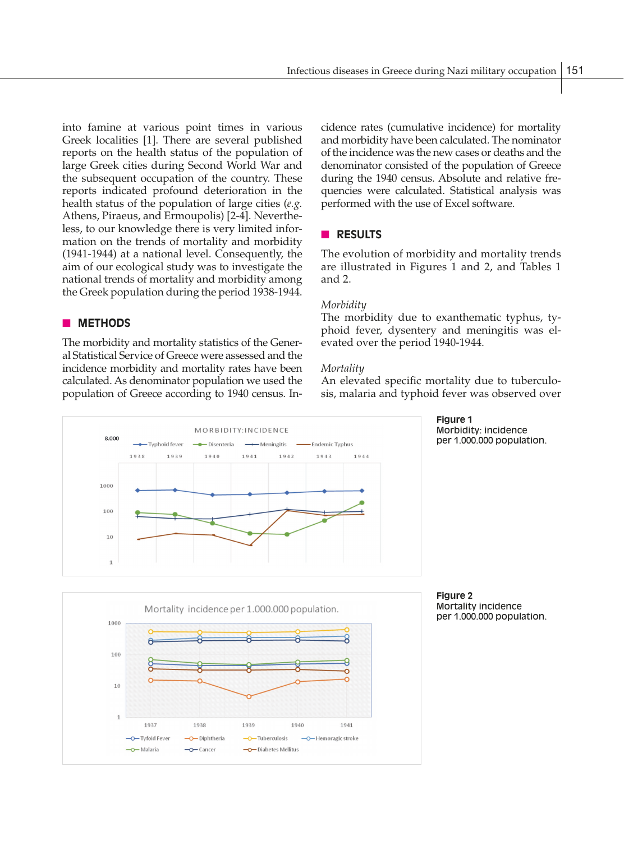into famine at various point times in various Greek localities [1]. There are several published reports on the health status of the population of large Greek cities during Second World War and the subsequent occupation of the country. These reports indicated profound deterioration in the health status of the population of large cities (*e.g.* Athens, Piraeus, and Ermoupolis) [2-4]. Nevertheless, to our knowledge there is very limited information on the trends of mortality and morbidity (1941-1944) at a national level. Consequently, the aim of our ecological study was to investigate the national trends of mortality and morbidity among the Greek population during the period 1938-1944.

## **NETHODS**

The morbidity and mortality statistics of the General Statistical Service of Greece were assessed and the incidence morbidity and mortality rates have been calculated. As denominator population we used the population of Greece according to 1940 census. Incidence rates (cumulative incidence) for mortality and morbidity have been calculated. The nominator of the incidence was the new cases or deaths and the denominator consisted of the population of Greece during the 1940 census. Absolute and relative frequencies were calculated. Statistical analysis was performed with the use of Excel software.

## n **RESULTS**

The evolution of morbidity and mortality trends are illustrated in Figures 1 and 2, and Tables 1 and 2.

#### *Morbidity*

The morbidity due to exanthematic typhus, typhoid fever, dysentery and meningitis was elevated over the period 1940-1944.

## *Mortality*

An elevated specific mortality due to tuberculosis, malaria and typhoid fever was observed over







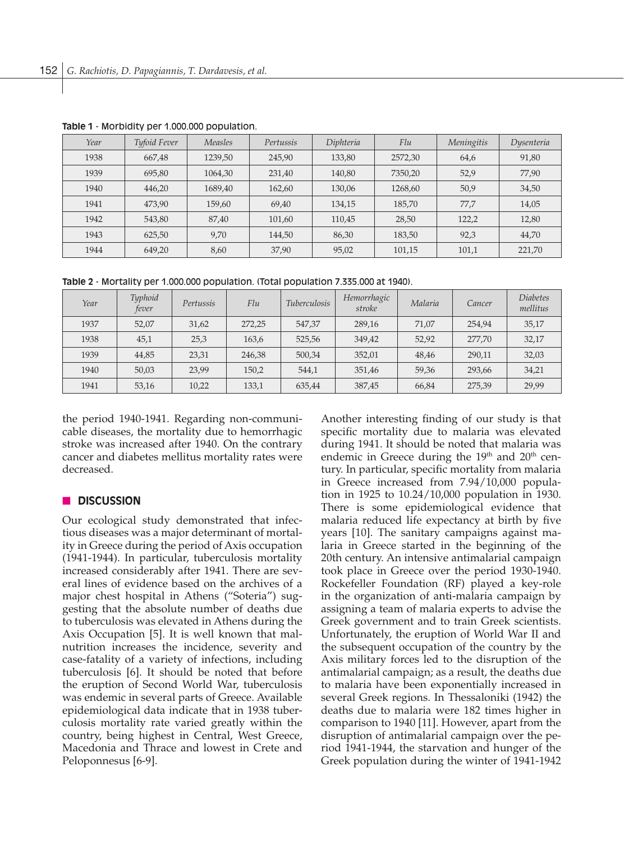| Year | Tyfoid Fever | Measles | Pertussis | Diphteria | Flu     | Meningitis | Dysenteria |
|------|--------------|---------|-----------|-----------|---------|------------|------------|
| 1938 | 667,48       | 1239,50 | 245,90    | 133,80    | 2572,30 | 64,6       | 91,80      |
| 1939 | 695,80       | 1064,30 | 231,40    | 140,80    | 7350,20 | 52,9       | 77,90      |
| 1940 | 446,20       | 1689,40 | 162,60    | 130,06    | 1268,60 | 50,9       | 34,50      |
| 1941 | 473,90       | 159,60  | 69,40     | 134,15    | 185,70  | 77.7       | 14,05      |
| 1942 | 543,80       | 87,40   | 101,60    | 110,45    | 28,50   | 122,2      | 12,80      |
| 1943 | 625,50       | 9,70    | 144,50    | 86,30     | 183,50  | 92,3       | 44,70      |
| 1944 | 649,20       | 8,60    | 37,90     | 95,02     | 101,15  | 101,1      | 221,70     |

**Table 1** - Morbidity per 1.000.000 population.

**Table 2** - Mortality per 1.000.000 population. (Total population 7.335.000 at 1940).

| Year | Typhoid<br>fever | Pertussis | Flu    | <i>Tuberculosis</i> | Hemorrhagic<br>stroke | Malaria | Cancer | <i>Diabetes</i><br>mellitus |
|------|------------------|-----------|--------|---------------------|-----------------------|---------|--------|-----------------------------|
| 1937 | 52,07            | 31,62     | 272.25 | 547.37              | 289,16                | 71,07   | 254.94 | 35,17                       |
| 1938 | 45,1             | 25,3      | 163,6  | 525,56              | 349.42                | 52.92   | 277.70 | 32,17                       |
| 1939 | 44,85            | 23,31     | 246,38 | 500,34              | 352,01                | 48,46   | 290,11 | 32,03                       |
| 1940 | 50,03            | 23.99     | 150,2  | 544,1               | 351,46                | 59,36   | 293,66 | 34,21                       |
| 1941 | 53,16            | 10,22     | 133,1  | 635,44              | 387,45                | 66,84   | 275,39 | 29,99                       |

the period 1940-1941. Regarding non-communicable diseases, the mortality due to hemorrhagic stroke was increased after 1940. On the contrary cancer and diabetes mellitus mortality rates were decreased.

## n **DISCUSSION**

Our ecological study demonstrated that infectious diseases was a major determinant of mortality in Greece during the period of Axis occupation (1941-1944). In particular, tuberculosis mortality increased considerably after 1941. There are several lines of evidence based on the archives of a major chest hospital in Athens ("Soteria") suggesting that the absolute number of deaths due to tuberculosis was elevated in Athens during the Axis Occupation [5]. It is well known that malnutrition increases the incidence, severity and case-fatality of a variety of infections, including tuberculosis [6]. It should be noted that before the eruption of Second World War, tuberculosis was endemic in several parts of Greece. Available epidemiological data indicate that in 1938 tuberculosis mortality rate varied greatly within the country, being highest in Central, West Greece, Macedonia and Thrace and lowest in Crete and Peloponnesus [6-9].

Another interesting finding of our study is that specific mortality due to malaria was elevated during 1941. It should be noted that malaria was endemic in Greece during the  $19<sup>th</sup>$  and  $20<sup>th</sup>$  century. In particular, specific mortality from malaria in Greece increased from 7.94/10,000 population in 1925 to 10.24/10,000 population in 1930. There is some epidemiological evidence that malaria reduced life expectancy at birth by five years [10]. The sanitary campaigns against malaria in Greece started in the beginning of the 20th century. An intensive antimalarial campaign took place in Greece over the period 1930-1940. Rockefeller Foundation (RF) played a key-role in the organization of anti-malaria campaign by assigning a team of malaria experts to advise the Greek government and to train Greek scientists. Unfortunately, the eruption of World War II and the subsequent occupation of the country by the Axis military forces led to the disruption of the antimalarial campaign; as a result, the deaths due to malaria have been exponentially increased in several Greek regions. In Thessaloniki (1942) the deaths due to malaria were 182 times higher in comparison to 1940 [11]. However, apart from the disruption of antimalarial campaign over the period 1941-1944, the starvation and hunger of the Greek population during the winter of 1941-1942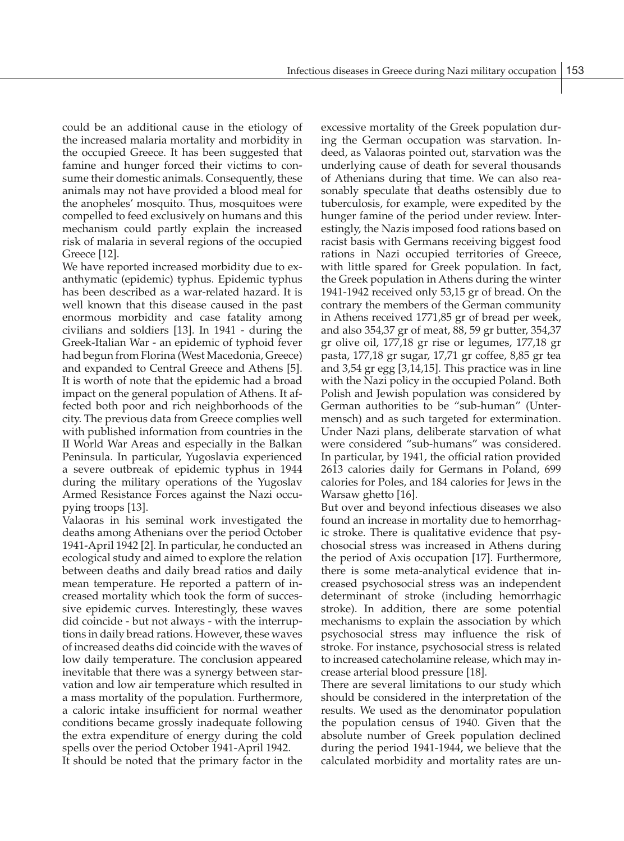could be an additional cause in the etiology of the increased malaria mortality and morbidity in the occupied Greece. It has been suggested that famine and hunger forced their victims to consume their domestic animals. Consequently, these animals may not have provided a blood meal for the anopheles' mosquito. Thus, mosquitoes were compelled to feed exclusively on humans and this mechanism could partly explain the increased risk of malaria in several regions of the occupied Greece [12].

We have reported increased morbidity due to exanthymatic (epidemic) typhus. Epidemic typhus has been described as a war-related hazard. It is well known that this disease caused in the past enormous morbidity and case fatality among civilians and soldiers [13]. In 1941 - during the Greek-Italian War - an epidemic of typhoid fever had begun from Florina (West Macedonia, Greece) and expanded to Central Greece and Athens [5]. It is worth of note that the epidemic had a broad impact on the general population of Athens. It affected both poor and rich neighborhoods of the city. The previous data from Greece complies well with published information from countries in the II World War Areas and especially in the Balkan Peninsula. In particular, Yugoslavia experienced a severe outbreak of epidemic typhus in 1944 during the military operations of the Yugoslav Armed Resistance Forces against the Nazi occupying troops [13].

Valaoras in his seminal work investigated the deaths among Athenians over the period October 1941-April 1942 [2]. In particular, he conducted an ecological study and aimed to explore the relation between deaths and daily bread ratios and daily mean temperature. He reported a pattern of increased mortality which took the form of successive epidemic curves. Interestingly, these waves did coincide - but not always - with the interruptions in daily bread rations. However, these waves of increased deaths did coincide with the waves of low daily temperature. The conclusion appeared inevitable that there was a synergy between starvation and low air temperature which resulted in a mass mortality of the population. Furthermore, a caloric intake insufficient for normal weather conditions became grossly inadequate following the extra expenditure of energy during the cold spells over the period October 1941-April 1942. It should be noted that the primary factor in the

excessive mortality of the Greek population during the German occupation was starvation. Indeed, as Valaoras pointed out, starvation was the underlying cause of death for several thousands of Athenians during that time. We can also reasonably speculate that deaths ostensibly due to tuberculosis, for example, were expedited by the hunger famine of the period under review. Interestingly, the Nazis imposed food rations based on racist basis with Germans receiving biggest food rations in Nazi occupied territories of Greece, with little spared for Greek population. In fact, the Greek population in Athens during the winter 1941-1942 received only 53,15 gr of bread. On the contrary the members of the German community in Athens received 1771,85 gr of bread per week, and also 354,37 gr of meat, 88, 59 gr butter, 354,37 gr olive oil, 177,18 gr rise or legumes, 177,18 gr pasta, 177,18 gr sugar, 17,71 gr coffee, 8,85 gr tea and 3,54 gr egg [3,14,15]. This practice was in line with the Nazi policy in the occupied Poland. Both Polish and Jewish population was considered by German authorities to be "sub-human" (Untermensch) and as such targeted for extermination. Under Nazi plans, deliberate starvation of what were considered "sub-humans" was considered. In particular, by 1941, the official ration provided 2613 calories daily for Germans in Poland, 699 calories for Poles, and 184 calories for Jews in the Warsaw ghetto [16].

But over and beyond infectious diseases we also found an increase in mortality due to hemorrhagic stroke. There is qualitative evidence that psychosocial stress was increased in Athens during the period of Axis occupation [17]. Furthermore, there is some meta-analytical evidence that increased psychosocial stress was an independent determinant of stroke (including hemorrhagic stroke). In addition, there are some potential mechanisms to explain the association by which psychosocial stress may influence the risk of stroke. For instance, psychosocial stress is related to increased catecholamine release, which may increase arterial blood pressure [18].

There are several limitations to our study which should be considered in the interpretation of the results. We used as the denominator population the population census of 1940. Given that the absolute number of Greek population declined during the period 1941-1944, we believe that the calculated morbidity and mortality rates are un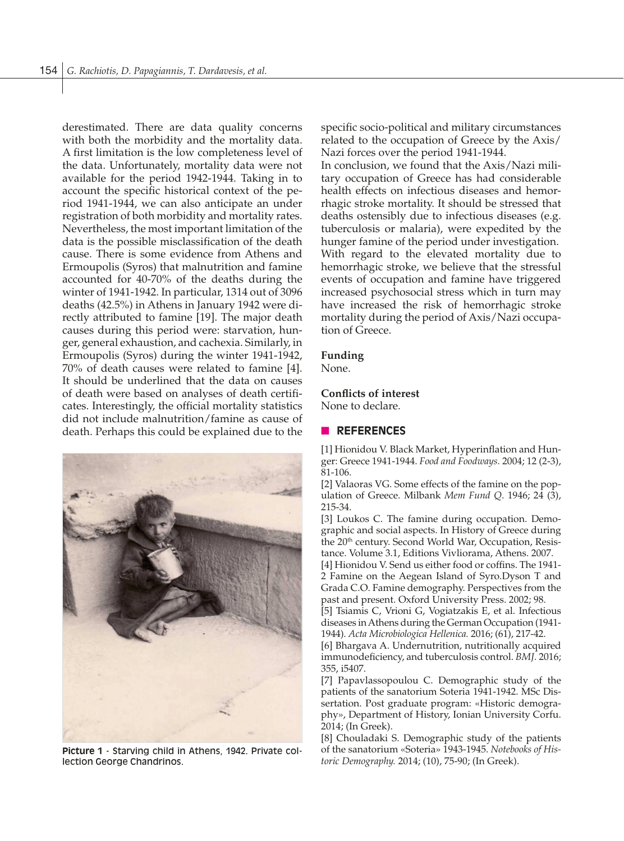derestimated. There are data quality concerns with both the morbidity and the mortality data. A first limitation is the low completeness level of the data. Unfortunately, mortality data were not available for the period 1942-1944. Taking in to account the specific historical context of the period 1941-1944, we can also anticipate an under registration of both morbidity and mortality rates. Nevertheless, the most important limitation of the data is the possible misclassification of the death cause. There is some evidence from Athens and Ermoupolis (Syros) that malnutrition and famine accounted for 40-70% of the deaths during the winter of 1941-1942. In particular, 1314 out of 3096 deaths (42.5%) in Athens in January 1942 were directly attributed to famine [19]. The major death causes during this period were: starvation, hunger, general exhaustion, and cachexia. Similarly, in Ermoupolis (Syros) during the winter 1941-1942, 70% of death causes were related to famine [4]. It should be underlined that the data on causes of death were based on analyses of death certificates. Interestingly, the official mortality statistics did not include malnutrition/famine as cause of death. Perhaps this could be explained due to the



**Picture 1** - Starving child in Athens, 1942. Private collection George Chandrinos.

specific socio-political and military circumstances related to the occupation of Greece by the Axis/ Nazi forces over the period 1941-1944.

In conclusion, we found that the Axis/Nazi military occupation of Greece has had considerable health effects on infectious diseases and hemorrhagic stroke mortality. It should be stressed that deaths ostensibly due to infectious diseases (e.g. tuberculosis or malaria), were expedited by the hunger famine of the period under investigation. With regard to the elevated mortality due to hemorrhagic stroke, we believe that the stressful events of occupation and famine have triggered increased psychosocial stress which in turn may have increased the risk of hemorrhagic stroke mortality during the period of Axis/Nazi occupation of Greece.

#### **Funding**

None.

#### **Conflicts of interest**

None to declare.

#### **N** REFERENCES

[1] Hionidou V. Black Market, Hyperinflation and Hunger: Greece 1941-1944. *Food and Foodways.* 2004; 12 (2-3), 81-106.

[2] Valaoras VG. Some effects of the famine on the population of Greece. Milbank *Mem Fund Q*. 1946; 24 (3), 215-34.

[3] Loukos C. The famine during occupation. Demographic and social aspects. In History of Greece during the 20<sup>th</sup> century. Second World War, Occupation, Resistance. Volume 3.1, Editions Vivliorama, Athens. 2007.

[4] Hionidou V. Send us either food or coffins. The 1941- 2 Famine on the Aegean Island of Syro.Dyson T and Grada C.O. Famine demography. Perspectives from the past and present. Oxford University Press. 2002; 98.

[5] Tsiamis C, Vrioni G, Vogiatzakis E, et al. Infectious diseases in Athens during the German Occupation (1941- 1944). *Acta Microbiologica Hellenica.* 2016; (61), 217-42.

[6] Bhargava A. Undernutrition, nutritionally acquired immunodeficiency, and tuberculosis control. *BMJ.* 2016; 355, i5407.

[7] Papavlassopoulou C. Demographic study of the patients of the sanatorium Soteria 1941-1942. MSc Dissertation. Post graduate program: «Historic demography», Department of History, Ionian University Corfu. 2014; (In Greek).

[8] Chouladaki S. Demographic study of the patients of the sanatorium «Soteria» 1943-1945. *Notebooks of Historic Demography.* 2014; (10), 75-90; (In Greek).